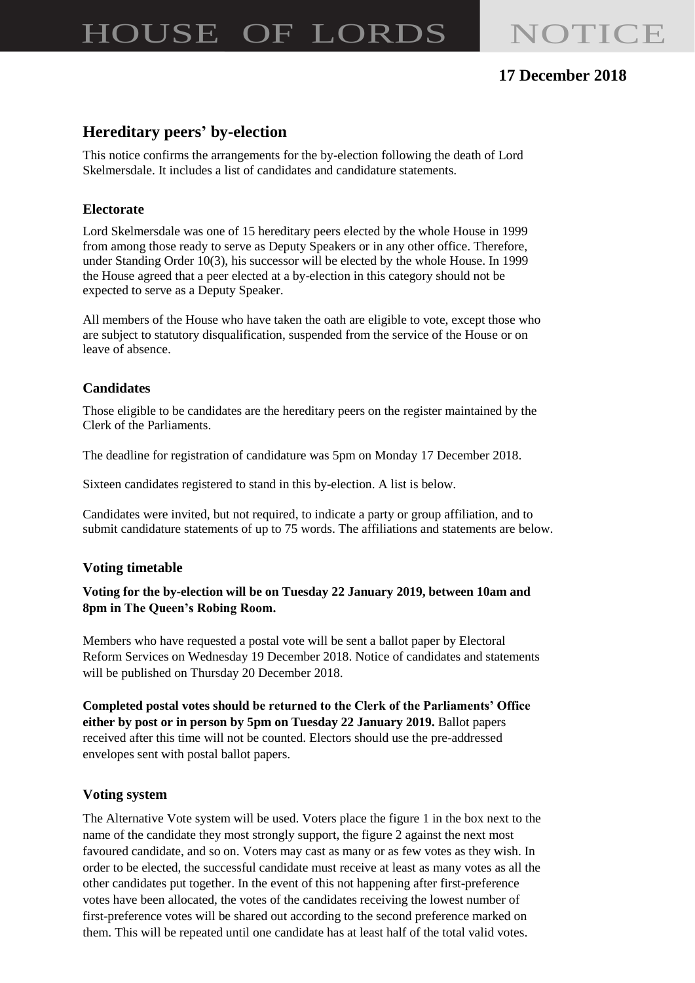# HOUSE OF LORDS NOTICE

# **17 December 2018**

# **Hereditary peers' by-election**

This notice confirms the arrangements for the by-election following the death of Lord Skelmersdale. It includes a list of candidates and candidature statements.

# **Electorate**

Lord Skelmersdale was one of 15 hereditary peers elected by the whole House in 1999 from among those ready to serve as Deputy Speakers or in any other office. Therefore, under Standing Order 10(3), his successor will be elected by the whole House. In 1999 the House agreed that a peer elected at a by-election in this category should not be expected to serve as a Deputy Speaker.

All members of the House who have taken the oath are eligible to vote, except those who are subject to statutory disqualification, suspended from the service of the House or on leave of absence.

# **Candidates**

Those eligible to be candidates are the hereditary peers on the register maintained by the Clerk of the Parliaments.

The deadline for registration of candidature was 5pm on Monday 17 December 2018.

Sixteen candidates registered to stand in this by-election. A list is below.

Candidates were invited, but not required, to indicate a party or group affiliation, and to submit candidature statements of up to 75 words. The affiliations and statements are below.

## **Voting timetable**

#### **Voting for the by-election will be on Tuesday 22 January 2019, between 10am and 8pm in The Queen's Robing Room.**

Members who have requested a postal vote will be sent a ballot paper by Electoral Reform Services on Wednesday 19 December 2018. Notice of candidates and statements will be published on Thursday 20 December 2018.

**Completed postal votes should be returned to the Clerk of the Parliaments' Office either by post or in person by 5pm on Tuesday 22 January 2019.** Ballot papers received after this time will not be counted. Electors should use the pre-addressed envelopes sent with postal ballot papers.

## **Voting system**

The Alternative Vote system will be used. Voters place the figure 1 in the box next to the name of the candidate they most strongly support, the figure 2 against the next most favoured candidate, and so on. Voters may cast as many or as few votes as they wish. In order to be elected, the successful candidate must receive at least as many votes as all the other candidates put together. In the event of this not happening after first-preference votes have been allocated, the votes of the candidates receiving the lowest number of first-preference votes will be shared out according to the second preference marked on them. This will be repeated until one candidate has at least half of the total valid votes.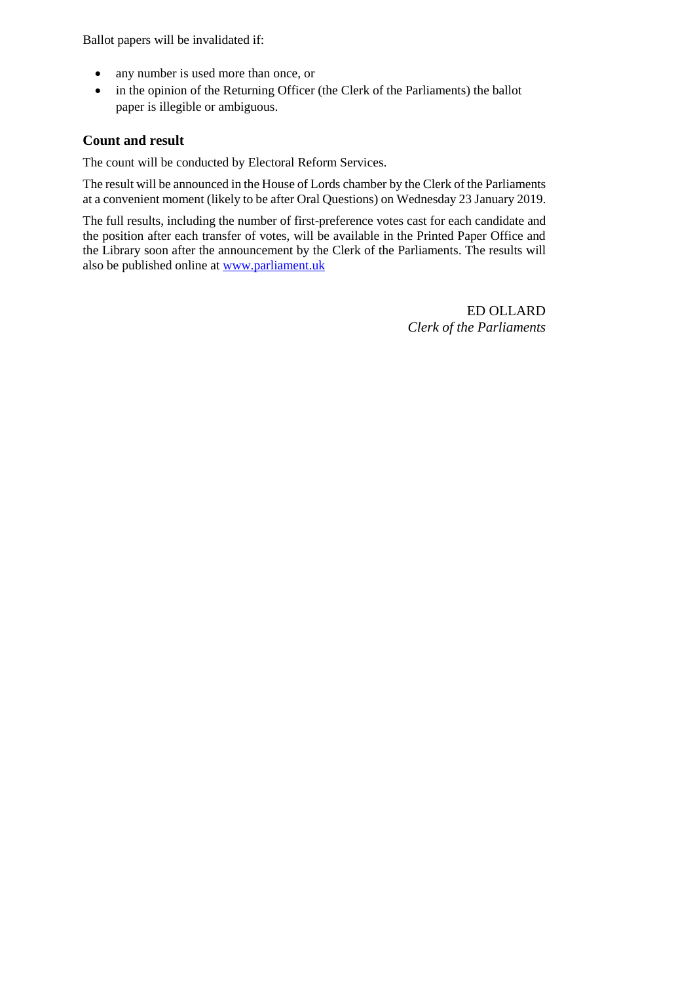Ballot papers will be invalidated if:

- any number is used more than once, or
- in the opinion of the Returning Officer (the Clerk of the Parliaments) the ballot paper is illegible or ambiguous.

#### **Count and result**

The count will be conducted by Electoral Reform Services.

The result will be announced in the House of Lords chamber by the Clerk of the Parliaments at a convenient moment (likely to be after Oral Questions) on Wednesday 23 January 2019.

The full results, including the number of first-preference votes cast for each candidate and the position after each transfer of votes, will be available in the Printed Paper Office and the Library soon after the announcement by the Clerk of the Parliaments. The results will also be published online at [www.parliament.uk](http://www.parliament.uk/)

> ED OLLARD *Clerk of the Parliaments*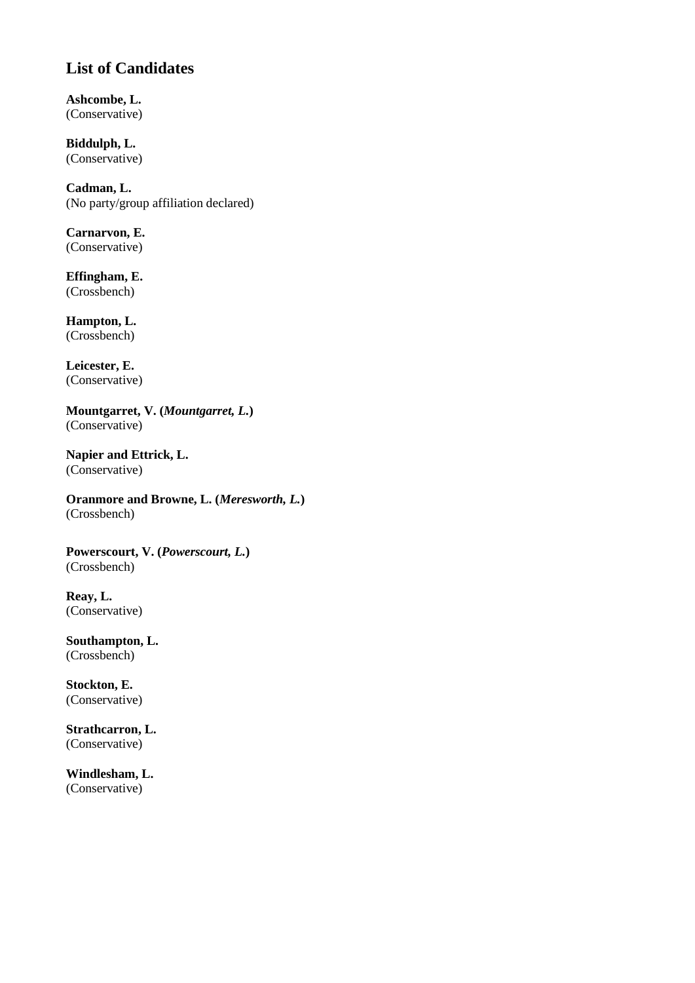# **List of Candidates**

**Ashcombe, L.** (Conservative)

**Biddulph, L.** (Conservative)

**Cadman, L.** (No party/group affiliation declared)

**Carnarvon, E.** (Conservative)

**Effingham, E.** (Crossbench)

**Hampton, L.** (Crossbench)

**Leicester, E.** (Conservative)

**Mountgarret, V. (***Mountgarret, L.***)** (Conservative)

**Napier and Ettrick, L.**  (Conservative)

**Oranmore and Browne, L. (***Meresworth, L.***)** (Crossbench)

**Powerscourt, V. (***Powerscourt, L.***)** (Crossbench)

**Reay, L.** (Conservative)

**Southampton, L.** (Crossbench)

**Stockton, E.** (Conservative)

**Strathcarron, L.** (Conservative)

**Windlesham, L.** (Conservative)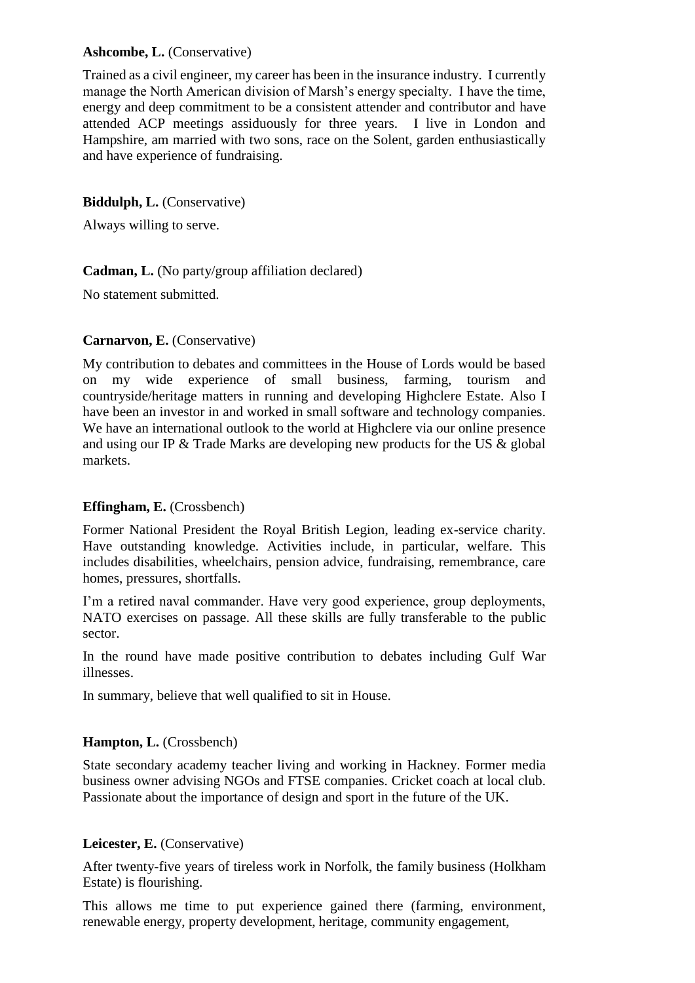#### Ashcombe, L. *(Conservative)*

Trained as a civil engineer, my career has been in the insurance industry. I currently manage the North American division of Marsh's energy specialty. I have the time, energy and deep commitment to be a consistent attender and contributor and have attended ACP meetings assiduously for three years. I live in London and Hampshire, am married with two sons, race on the Solent, garden enthusiastically and have experience of fundraising.

#### **Biddulph, L.** (Conservative)

Always willing to serve.

#### **Cadman, L.** (No party/group affiliation declared)

No statement submitted.

#### **Carnarvon, E.** (Conservative)

My contribution to debates and committees in the House of Lords would be based on my wide experience of small business, farming, tourism and countryside/heritage matters in running and developing Highclere Estate. Also I have been an investor in and worked in small software and technology companies. We have an international outlook to the world at Highclere via our online presence and using our IP & Trade Marks are developing new products for the US & global markets.

#### **Effingham, E.** (Crossbench)

Former National President the Royal British Legion, leading ex-service charity. Have outstanding knowledge. Activities include, in particular, welfare. This includes disabilities, wheelchairs, pension advice, fundraising, remembrance, care homes, pressures, shortfalls.

I'm a retired naval commander. Have very good experience, group deployments, NATO exercises on passage. All these skills are fully transferable to the public sector.

In the round have made positive contribution to debates including Gulf War illnesses.

In summary, believe that well qualified to sit in House.

#### Hampton, L. (Crossbench)

State secondary academy teacher living and working in Hackney. Former media business owner advising NGOs and FTSE companies. Cricket coach at local club. Passionate about the importance of design and sport in the future of the UK.

#### **Leicester, E.** (Conservative)

After twenty-five years of tireless work in Norfolk, the family business (Holkham Estate) is flourishing.

This allows me time to put experience gained there (farming, environment, renewable energy, property development, heritage, community engagement,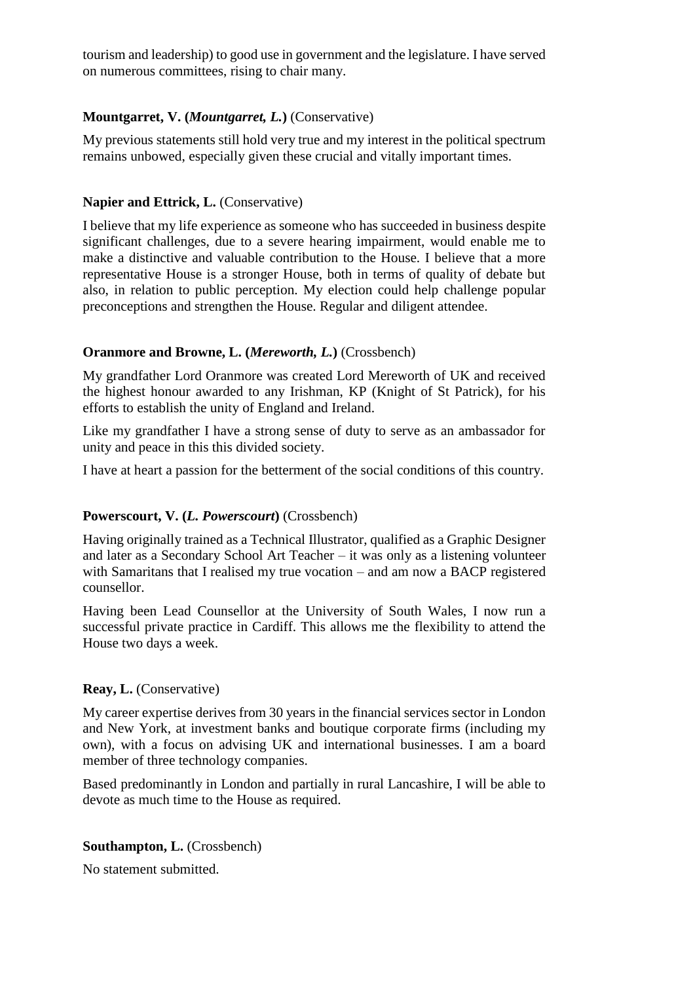tourism and leadership) to good use in government and the legislature. I have served on numerous committees, rising to chair many.

#### **Mountgarret, V. (***Mountgarret, L.***)** (Conservative)

My previous statements still hold very true and my interest in the political spectrum remains unbowed, especially given these crucial and vitally important times.

#### **Napier and Ettrick, L.** *(Conservative)*

I believe that my life experience as someone who has succeeded in business despite significant challenges, due to a severe hearing impairment, would enable me to make a distinctive and valuable contribution to the House. I believe that a more representative House is a stronger House, both in terms of quality of debate but also, in relation to public perception. My election could help challenge popular preconceptions and strengthen the House. Regular and diligent attendee.

#### **Oranmore and Browne, L. (***Mereworth, L.***)** (Crossbench)

My grandfather Lord Oranmore was created Lord Mereworth of UK and received the highest honour awarded to any Irishman, KP (Knight of St Patrick), for his efforts to establish the unity of England and Ireland.

Like my grandfather I have a strong sense of duty to serve as an ambassador for unity and peace in this this divided society.

I have at heart a passion for the betterment of the social conditions of this country.

#### **Powerscourt, V. (***L. Powerscourt***)** (Crossbench)

Having originally trained as a Technical Illustrator, qualified as a Graphic Designer and later as a Secondary School Art Teacher – it was only as a listening volunteer with Samaritans that I realised my true vocation – and am now a BACP registered counsellor.

Having been Lead Counsellor at the University of South Wales, I now run a successful private practice in Cardiff. This allows me the flexibility to attend the House two days a week.

#### **Reay, L.** (Conservative)

My career expertise derives from 30 years in the financial services sector in London and New York, at investment banks and boutique corporate firms (including my own), with a focus on advising UK and international businesses. I am a board member of three technology companies.

Based predominantly in London and partially in rural Lancashire, I will be able to devote as much time to the House as required.

#### **Southampton, L.** (Crossbench)

No statement submitted.